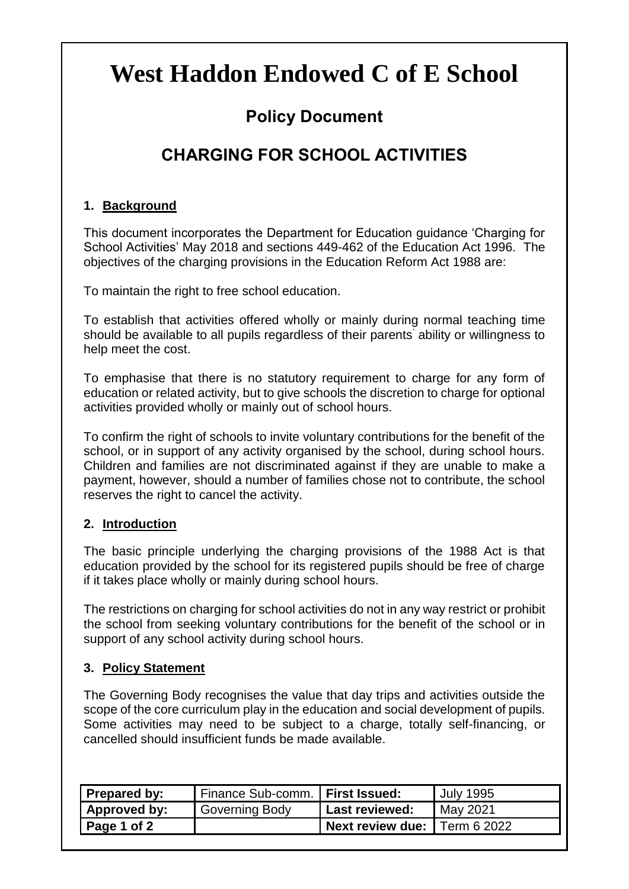# **West Haddon Endowed C of E School**

## **Policy Document**

# **CHARGING FOR SCHOOL ACTIVITIES**

### **1. Background**

This document incorporates the Department for Education guidance 'Charging for School Activities' May 2018 and sections 449-462 of the Education Act 1996. The objectives of the charging provisions in the Education Reform Act 1988 are:

To maintain the right to free school education.

To establish that activities offered wholly or mainly during normal teaching time should be available to all pupils regardless of their parents' ability or willingness to help meet the cost.

To emphasise that there is no statutory requirement to charge for any form of education or related activity, but to give schools the discretion to charge for optional activities provided wholly or mainly out of school hours.

To confirm the right of schools to invite voluntary contributions for the benefit of the school, or in support of any activity organised by the school, during school hours. Children and families are not discriminated against if they are unable to make a payment, however, should a number of families chose not to contribute, the school reserves the right to cancel the activity.

### **2. Introduction**

The basic principle underlying the charging provisions of the 1988 Act is that education provided by the school for its registered pupils should be free of charge if it takes place wholly or mainly during school hours.

The restrictions on charging for school activities do not in any way restrict or prohibit the school from seeking voluntary contributions for the benefit of the school or in support of any school activity during school hours.

### **3. Policy Statement**

The Governing Body recognises the value that day trips and activities outside the scope of the core curriculum play in the education and social development of pupils. Some activities may need to be subject to a charge, totally self-financing, or cancelled should insufficient funds be made available.

| <b>Prepared by:</b> | Finance Sub-comm.   First Issued: |                                     | July 1995 |
|---------------------|-----------------------------------|-------------------------------------|-----------|
| Approved by:        | Governing Body                    | <b>Last reviewed:</b>               | May 2021  |
| Page 1 of 2         |                                   | <b>Next review due:</b> Term 6 2022 |           |